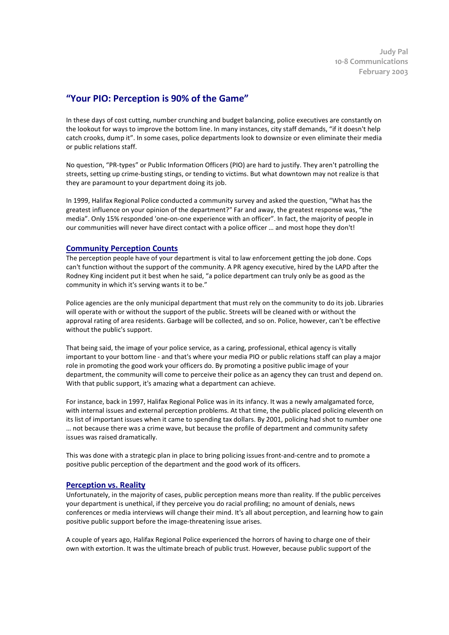## **"Your PIO: Perception is 90% of the Game"**

In these days of cost cutting, number crunching and budget balancing, police executives are constantly on the lookout for ways to improve the bottom line. In many instances, city staff demands, "if it doesn't help catch crooks, dump it". In some cases, police departments look to downsize or even eliminate their media or public relations staff.

No question, "PR-types" or Public Information Officers (PIO) are hard to justify. They aren't patrolling the streets, setting up crime-busting stings, or tending to victims. But what downtown may not realize is that they are paramount to your department doing its job.

In 1999, Halifax Regional Police conducted a community survey and asked the question, "What has the greatest influence on your opinion of the department?" Far and away, the greatest response was, "the media". Only 15% responded 'one-on-one experience with an officer". In fact, the majority of people in our communities will never have direct contact with a police officer … and most hope they don't!

## **Community Perception Counts**

The perception people have of your department is vital to law enforcement getting the job done. Cops can't function without the support of the community. A PR agency executive, hired by the LAPD after the Rodney King incident put it best when he said, "a police department can truly only be as good as the community in which it's serving wants it to be."

Police agencies are the only municipal department that must rely on the community to do its job. Libraries will operate with or without the support of the public. Streets will be cleaned with or without the approval rating of area residents. Garbage will be collected, and so on. Police, however, can't be effective without the public's support.

That being said, the image of your police service, as a caring, professional, ethical agency is vitally important to your bottom line - and that's where your media PIO or public relations staff can play a major role in promoting the good work your officers do. By promoting a positive public image of your department, the community will come to perceive their police as an agency they can trust and depend on. With that public support, it's amazing what a department can achieve.

For instance, back in 1997, Halifax Regional Police was in its infancy. It was a newly amalgamated force, with internal issues and external perception problems. At that time, the public placed policing eleventh on its list of important issues when it came to spending tax dollars. By 2001, policing had shot to number one … not because there was a crime wave, but because the profile of department and community safety issues was raised dramatically.

This was done with a strategic plan in place to bring policing issues front-and-centre and to promote a positive public perception of the department and the good work of its officers.

## **Perception vs. Reality**

Unfortunately, in the majority of cases, public perception means more than reality. If the public perceives your department is unethical, if they perceive you do racial profiling; no amount of denials, news conferences or media interviews will change their mind. It's all about perception, and learning how to gain positive public support before the image-threatening issue arises.

A couple of years ago, Halifax Regional Police experienced the horrors of having to charge one of their own with extortion. It was the ultimate breach of public trust. However, because public support of the